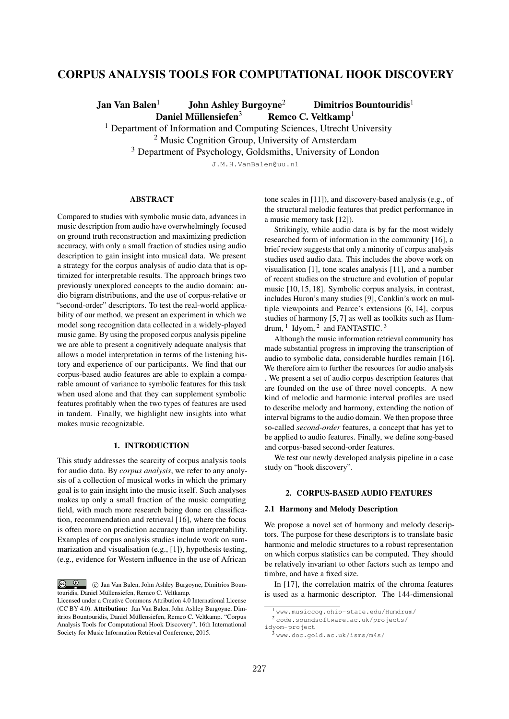# CORPUS ANALYSIS TOOLS FOR COMPUTATIONAL HOOK DISCOVERY

Jan Van Balen<sup>1</sup> John Ashley Burgoyne<sup>2</sup> Dimitrios Bountouridis<sup>1</sup>

Daniel Müllensiefen<sup>3</sup> Remco C. Veltkamp<sup>1</sup>

<sup>1</sup> Department of Information and Computing Sciences, Utrecht University

<sup>2</sup> Music Cognition Group, University of Amsterdam

<sup>3</sup> Department of Psychology, Goldsmiths, University of London

J.M.H.VanBalen@uu.nl

## ABSTRACT

Compared to studies with symbolic music data, advances in music description from audio have overwhelmingly focused on ground truth reconstruction and maximizing prediction accuracy, with only a small fraction of studies using audio description to gain insight into musical data. We present a strategy for the corpus analysis of audio data that is optimized for interpretable results. The approach brings two previously unexplored concepts to the audio domain: audio bigram distributions, and the use of corpus-relative or "second-order" descriptors. To test the real-world applicability of our method, we present an experiment in which we model song recognition data collected in a widely-played music game. By using the proposed corpus analysis pipeline we are able to present a cognitively adequate analysis that allows a model interpretation in terms of the listening history and experience of our participants. We find that our corpus-based audio features are able to explain a comparable amount of variance to symbolic features for this task when used alone and that they can supplement symbolic features profitably when the two types of features are used in tandem. Finally, we highlight new insights into what makes music recognizable.

# 1. INTRODUCTION

This study addresses the scarcity of corpus analysis tools for audio data. By *corpus analysis*, we refer to any analysis of a collection of musical works in which the primary goal is to gain insight into the music itself. Such analyses makes up only a small fraction of the music computing field, with much more research being done on classification, recommendation and retrieval [16], where the focus is often more on prediction accuracy than interpretability. Examples of corpus analysis studies include work on summarization and visualisation (e.g., [1]), hypothesis testing, (e.g., evidence for Western influence in the use of African

 $\circ$   $\circ$ c Jan Van Balen, John Ashley Burgoyne, Dimitrios Bountouridis, Daniel Müllensiefen, Remco C. Veltkamp.

tone scales in [11]), and discovery-based analysis (e.g., of the structural melodic features that predict performance in a music memory task [12]).

Strikingly, while audio data is by far the most widely researched form of information in the community [16], a brief review suggests that only a minority of corpus analysis studies used audio data. This includes the above work on visualisation [1], tone scales analysis [11], and a number of recent studies on the structure and evolution of popular music [10, 15, 18]. Symbolic corpus analysis, in contrast, includes Huron's many studies [9], Conklin's work on multiple viewpoints and Pearce's extensions [6, 14], corpus studies of harmony [5, 7] as well as toolkits such as Humdrum,  $1$  Idyom,  $2$  and FANTASTIC.  $3$ 

Although the music information retrieval community has made substantial progress in improving the transcription of audio to symbolic data, considerable hurdles remain [16]. We therefore aim to further the resources for audio analysis . We present a set of audio corpus description features that are founded on the use of three novel concepts. A new kind of melodic and harmonic interval profiles are used to describe melody and harmony, extending the notion of interval bigrams to the audio domain. We then propose three so-called *second-order* features, a concept that has yet to be applied to audio features. Finally, we define song-based and corpus-based second-order features.

We test our newly developed analysis pipeline in a case study on "hook discovery".

# 2. CORPUS-BASED AUDIO FEATURES

# 2.1 Harmony and Melody Description

We propose a novel set of harmony and melody descriptors. The purpose for these descriptors is to translate basic harmonic and melodic structures to a robust representation on which corpus statistics can be computed. They should be relatively invariant to other factors such as tempo and timbre, and have a fixed size.

In [17], the correlation matrix of the chroma features is used as a harmonic descriptor. The 144-dimensional

Licensed under a Creative Commons Attribution 4.0 International License (CC BY 4.0). Attribution: Jan Van Balen, John Ashley Burgoyne, Dimitrios Bountouridis, Daniel Mullensiefen, Remco C. Veltkamp. "Corpus ¨ Analysis Tools for Computational Hook Discovery", 16th International Society for Music Information Retrieval Conference, 2015.

<sup>1</sup> www.musiccog.ohio-state.edu/Humdrum/

<sup>2</sup> code.soundsoftware.ac.uk/projects/ idyom-project

<sup>3</sup> www.doc.gold.ac.uk/isms/m4s/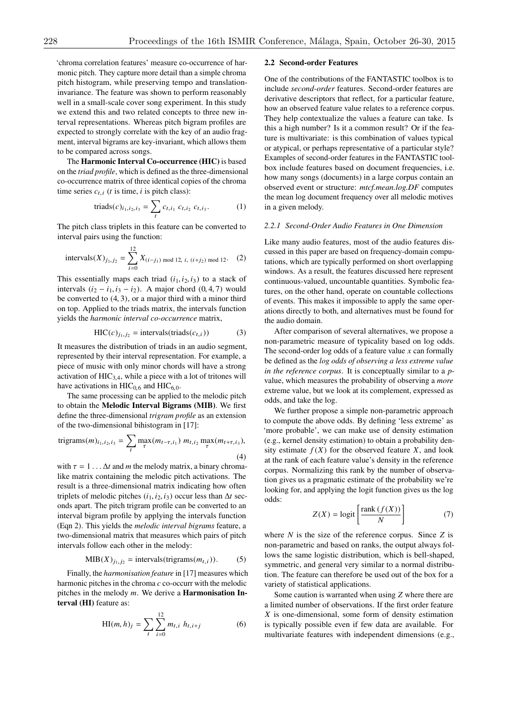'chroma correlation features' measure co-occurrence of harmonic pitch. They capture more detail than a simple chroma pitch histogram, while preserving tempo and translationinvariance. The feature was shown to perform reasonably well in a small-scale cover song experiment. In this study we extend this and two related concepts to three new interval representations. Whereas pitch bigram profiles are expected to strongly correlate with the key of an audio fragment, interval bigrams are key-invariant, which allows them to be compared across songs.

The Harmonic Interval Co-occurrence (HIC) is based on the *triad profile*, which is defined as the three-dimensional co-occurrence matrix of three identical copies of the chroma time series  $c_{t,i}$  (*t* is time, *i* is pitch class):

triads
$$
(c)_{i_1, i_2, i_3} = \sum_t c_{t, i_1} c_{t, i_2} c_{t, i_3}.
$$
 (1)

The pitch class triplets in this feature can be converted to interval pairs using the function:

intervals 
$$
(X)_{j_1, j_2} = \sum_{i=0}^{12} X_{(i-j_1) \mod 12, i, (i+j_2) \mod 12}
$$
. (2)

This essentially maps each triad  $(i_1, i_2, i_3)$  to a stack of intervals  $(i_2 - i_1, i_3 - i_2)$ . A major chord  $(0, 4, 7)$  would be converted to (4, 3), or a major third with a minor third on top. Applied to the triads matrix, the intervals function yields the *harmonic interval co-occurrence* matrix,

$$
HIC(c)_{j_1, j_2} = intervals(trainds(c_{t,i}))
$$
 (3)

It measures the distribution of triads in an audio segment, represented by their interval representation. For example, a piece of music with only minor chords will have a strong activation of  $HIC<sub>3,4</sub>$ , while a piece with a lot of tritones will have activations in  $HIC_{0,6}$  and  $HIC_{6,0}$ .

The same processing can be applied to the melodic pitch to obtain the Melodic Interval Bigrams (MIB). We first define the three-dimensional *trigram profile* as an extension of the two-dimensional bihistogram in [17]:

trigrams
$$
(m)_{i_1, i_2, i_3} = \sum_t \max_{\tau} (m_{t-\tau, i_1}) m_{t, i_2} \max_{\tau} (m_{t+\tau, i_3}),
$$
\n(4)

with  $\tau = 1 \dots \Delta t$  and *m* the melody matrix, a binary chromalike matrix containing the melodic pitch activations. The result is a three-dimensional matrix indicating how often triplets of melodic pitches  $(i_1, i_2, i_3)$  occur less than  $\Delta t$  seconds apart. The pitch trigram profile can be converted to an interval bigram profile by applying the intervals function (Eqn 2). This yields the *melodic interval bigrams* feature, a two-dimensional matrix that measures which pairs of pitch intervals follow each other in the melody:

$$
MIB(X)_{j_1, j_2} = intervals(trigrams(m_{t,i})).
$$
 (5)

Finally, the *harmonisation feature* in [17] measures which harmonic pitches in the chroma *c* co-occurr with the melodic pitches in the melody *m*. We derive a Harmonisation Interval (HI) feature as:

$$
HI(m, h)_j = \sum_{t} \sum_{i=0}^{12} m_{t,i} h_{t,i+j}
$$
 (6)

#### 2.2 Second-order Features

One of the contributions of the FANTASTIC toolbox is to include *second-order* features. Second-order features are derivative descriptors that reflect, for a particular feature, how an observed feature value relates to a reference corpus. They help contextualize the values a feature can take. Is this a high number? Is it a common result? Or if the feature is multivariate: is this combination of values typical or atypical, or perhaps representative of a particular style? Examples of second-order features in the FANTASTIC toolbox include features based on document frequencies, i.e. how many songs (documents) in a large corpus contain an observed event or structure: *mtcf.mean.log.DF* computes the mean log document frequency over all melodic motives in a given melody.

#### *2.2.1 Second-Order Audio Features in One Dimension*

Like many audio features, most of the audio features discussed in this paper are based on frequency-domain computations, which are typically performed on short overlapping windows. As a result, the features discussed here represent continuous-valued, uncountable quantities. Symbolic features, on the other hand, operate on countable collections of events. This makes it impossible to apply the same operations directly to both, and alternatives must be found for the audio domain.

After comparison of several alternatives, we propose a non-parametric measure of typicality based on log odds. The second-order log odds of a feature value *x* can formally be defined as the *log odds of observing a less extreme value in the reference corpus*. It is conceptually similar to a *p*value, which measures the probability of observing a *more* extreme value, but we look at its complement, expressed as odds, and take the log.

We further propose a simple non-parametric approach to compute the above odds. By defining 'less extreme' as 'more probable', we can make use of density estimation (e.g., kernel density estimation) to obtain a probability density estimate  $f(X)$  for the observed feature *X*, and look at the rank of each feature value's density in the reference corpus. Normalizing this rank by the number of observation gives us a pragmatic estimate of the probability we're looking for, and applying the logit function gives us the log odds:

$$
Z(X) = \text{logit}\left[\frac{\text{rank}\left(f(X)\right)}{N}\right] \tag{7}
$$

where *N* is the size of the reference corpus. Since *Z* is non-parametric and based on ranks, the output always follows the same logistic distribution, which is bell-shaped, symmetric, and general very similar to a normal distribution. The feature can therefore be used out of the box for a variety of statistical applications.

Some caution is warranted when using *Z* where there are a limited number of observations. If the first order feature *X* is one-dimensional, some form of density estimation is typically possible even if few data are available. For multivariate features with independent dimensions (e.g.,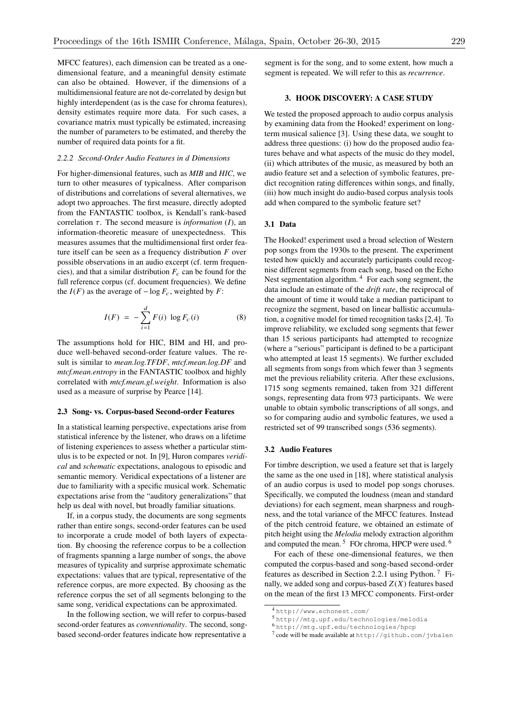MFCC features), each dimension can be treated as a onedimensional feature, and a meaningful density estimate can also be obtained. However, if the dimensions of a multidimensional feature are not de-correlated by design but highly interdependent (as is the case for chroma features), density estimates require more data. For such cases, a covariance matrix must typically be estimated, increasing the number of parameters to be estimated, and thereby the number of required data points for a fit.

# *2.2.2 Second-Order Audio Features in d Dimensions*

For higher-dimensional features, such as *MIB* and *HIC*, we turn to other measures of typicalness. After comparison of distributions and correlations of several alternatives, we adopt two approaches. The first measure, directly adopted from the FANTASTIC toolbox, is Kendall's rank-based correlation  $\tau$ . The second measure is *information* (*I*), an information-theoretic measure of unexpectedness. This measures assumes that the multidimensional first order feature itself can be seen as a frequency distribution *F* over possible observations in an audio excerpt (cf. term frequencies), and that a similar distribution  $F_c$  can be found for the full reference corpus (cf. document frequencies). We define the  $I(F)$  as the average of  $-\log F_c$ , weighted by *F*:

$$
I(F) = -\sum_{i=1}^{d} F(i) \log F_c(i)
$$
 (8)

The assumptions hold for HIC, BIM and HI, and produce well-behaved second-order feature values. The result is similar to *mean.log.TFDF*, *mtcf.mean.log.DF* and *mtcf.mean.entropy* in the FANTASTIC toolbox and highly correlated with *mtcf.mean.gl.weight*. Information is also used as a measure of surprise by Pearce [14].

#### 2.3 Song- vs. Corpus-based Second-order Features

In a statistical learning perspective, expectations arise from statistical inference by the listener, who draws on a lifetime of listening experiences to assess whether a particular stimulus is to be expected or not. In [9], Huron compares *veridical* and *schematic* expectations, analogous to episodic and semantic memory. Veridical expectations of a listener are due to familiarity with a specific musical work. Schematic expectations arise from the "auditory generalizations" that help us deal with novel, but broadly familiar situations.

If, in a corpus study, the documents are song segments rather than entire songs, second-order features can be used to incorporate a crude model of both layers of expectation. By choosing the reference corpus to be a collection of fragments spanning a large number of songs, the above measures of typicality and surprise approximate schematic expectations: values that are typical, representative of the reference corpus, are more expected. By choosing as the reference corpus the set of all segments belonging to the same song, veridical expectations can be approximated.

In the following section, we will refer to corpus-based second-order features as *conventionality*. The second, songbased second-order features indicate how representative a

segment is for the song, and to some extent, how much a segment is repeated. We will refer to this as *recurrence*.

# 3. HOOK DISCOVERY: A CASE STUDY

We tested the proposed approach to audio corpus analysis by examining data from the Hooked! experiment on longterm musical salience [3]. Using these data, we sought to address three questions: (i) how do the proposed audio features behave and what aspects of the music do they model, (ii) which attributes of the music, as measured by both an audio feature set and a selection of symbolic features, predict recognition rating differences within songs, and finally, (iii) how much insight do audio-based corpus analysis tools add when compared to the symbolic feature set?

#### 3.1 Data

The Hooked! experiment used a broad selection of Western pop songs from the 1930s to the present. The experiment tested how quickly and accurately participants could recognise different segments from each song, based on the Echo Nest segmentation algorithm.  $4\,$  For each song segment, the data include an estimate of the *drift rate*, the reciprocal of the amount of time it would take a median participant to recognize the segment, based on linear ballistic accumulation, a cognitive model for timed recognition tasks [2,4]. To improve reliability, we excluded song segments that fewer than 15 serious participants had attempted to recognize (where a "serious" participant is defined to be a participant who attempted at least 15 segments). We further excluded all segments from songs from which fewer than 3 segments met the previous reliability criteria. After these exclusions, 1715 song segments remained, taken from 321 different songs, representing data from 973 participants. We were unable to obtain symbolic transcriptions of all songs, and so for comparing audio and symbolic features, we used a restricted set of 99 transcribed songs (536 segments).

### 3.2 Audio Features

For timbre description, we used a feature set that is largely the same as the one used in [18], where statistical analysis of an audio corpus is used to model pop songs choruses. Specifically, we computed the loudness (mean and standard deviations) for each segment, mean sharpness and roughness, and the total variance of the MFCC features. Instead of the pitch centroid feature, we obtained an estimate of pitch height using the *Melodia* melody extraction algorithm and computed the mean.  $5$  FOr chroma, HPCP were used.  $6$ 

For each of these one-dimensional features, we then computed the corpus-based and song-based second-order features as described in Section 2.2.1 using Python. <sup>7</sup> Finally, we added song and corpus-based  $Z(X)$  features based on the mean of the first 13 MFCC components. First-order

<sup>4</sup> http://www.echonest.com/

<sup>5</sup> http://mtg.upf.edu/technologies/melodia

<sup>6</sup> http://mtg.upf.edu/technologies/hpcp

<sup>7</sup> code will be made available at http://github.com/jvbalen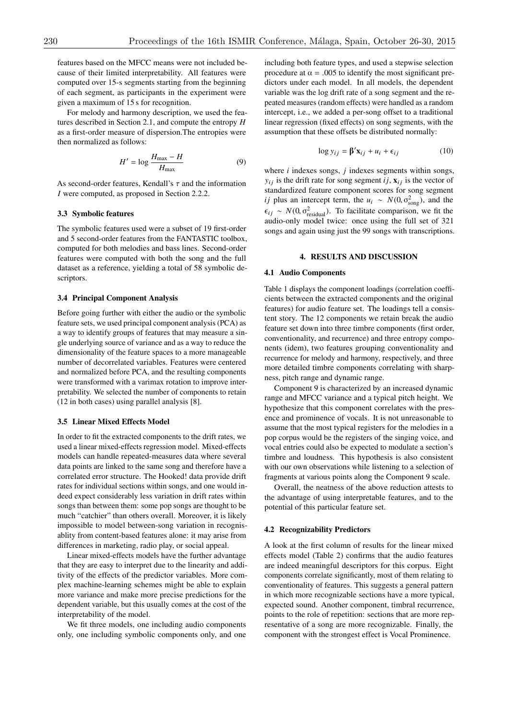features based on the MFCC means were not included because of their limited interpretability. All features were computed over 15-s segments starting from the beginning of each segment, as participants in the experiment were given a maximum of 15 s for recognition.

For melody and harmony description, we used the features described in Section 2.1, and compute the entropy *H* as a first-order measure of dispersion.The entropies were then normalized as follows:

$$
H' = \log \frac{H_{\text{max}} - H}{H_{\text{max}}} \tag{9}
$$

As second-order features, Kendall's  $\tau$  and the information *I* were computed, as proposed in Section 2.2.2.

# 3.3 Symbolic features

The symbolic features used were a subset of 19 first-order and 5 second-order features from the FANTASTIC toolbox, computed for both melodies and bass lines. Second-order features were computed with both the song and the full dataset as a reference, yielding a total of 58 symbolic descriptors.

# 3.4 Principal Component Analysis

Before going further with either the audio or the symbolic feature sets, we used principal component analysis (PCA) as a way to identify groups of features that may measure a single underlying source of variance and as a way to reduce the dimensionality of the feature spaces to a more manageable number of decorrelated variables. Features were centered and normalized before PCA, and the resulting components were transformed with a varimax rotation to improve interpretability. We selected the number of components to retain (12 in both cases) using parallel analysis [8].

## 3.5 Linear Mixed Effects Model

In order to fit the extracted components to the drift rates, we used a linear mixed-effects regression model. Mixed-effects models can handle repeated-measures data where several data points are linked to the same song and therefore have a correlated error structure. The Hooked! data provide drift rates for individual sections within songs, and one would indeed expect considerably less variation in drift rates within songs than between them: some pop songs are thought to be much "catchier" than others overall. Moreover, it is likely impossible to model between-song variation in recognisablity from content-based features alone: it may arise from differences in marketing, radio play, or social appeal.

Linear mixed-effects models have the further advantage that they are easy to interpret due to the linearity and additivity of the effects of the predictor variables. More complex machine-learning schemes might be able to explain more variance and make more precise predictions for the dependent variable, but this usually comes at the cost of the interpretability of the model.

We fit three models, one including audio components only, one including symbolic components only, and one including both feature types, and used a stepwise selection procedure at  $\alpha = .005$  to identify the most significant predictors under each model. In all models, the dependent variable was the log drift rate of a song segment and the repeated measures (random effects) were handled as a random intercept, i.e., we added a per-song offset to a traditional linear regression (fixed effects) on song segments, with the assumption that these offsets be distributed normally:

$$
\log y_{ij} = \beta' \mathbf{x}_{ij} + u_i + \epsilon_{ij} \tag{10}
$$

where *i* indexes songs, *j* indexes segments within songs,  $y_{ij}$  is the drift rate for song segment *ij*,  $\mathbf{x}_{ij}$  is the vector of standardized feature component scores for song segment *ij* plus an intercept term, the  $u_i \sim N(0, \sigma_{\text{song}}^2)$ , and the  $\epsilon_{ij} \sim N(0, \sigma_{\text{residual}}^2)$ . To facilitate comparison, we fit the audio-only model twice: once using the full set of 321 songs and again using just the 99 songs with transcriptions.

# 4. RESULTS AND DISCUSSION

#### 4.1 Audio Components

Table 1 displays the component loadings (correlation coefficients between the extracted components and the original features) for audio feature set. The loadings tell a consistent story. The 12 components we retain break the audio feature set down into three timbre components (first order, conventionality, and recurrence) and three entropy components (idem), two features grouping conventionality and recurrence for melody and harmony, respectively, and three more detailed timbre components correlating with sharpness, pitch range and dynamic range.

Component 9 is characterized by an increased dynamic range and MFCC variance and a typical pitch height. We hypothesize that this component correlates with the presence and prominence of vocals. It is not unreasonable to assume that the most typical registers for the melodies in a pop corpus would be the registers of the singing voice, and vocal entries could also be expected to modulate a section's timbre and loudness. This hypothesis is also consistent with our own observations while listening to a selection of fragments at various points along the Component 9 scale.

Overall, the neatness of the above reduction attests to the advantage of using interpretable features, and to the potential of this particular feature set.

### 4.2 Recognizability Predictors

A look at the first column of results for the linear mixed effects model (Table 2) confirms that the audio features are indeed meaningful descriptors for this corpus. Eight components correlate significantly, most of them relating to conventionality of features. This suggests a general pattern in which more recognizable sections have a more typical, expected sound. Another component, timbral recurrence, points to the role of repetition: sections that are more representative of a song are more recognizable. Finally, the component with the strongest effect is Vocal Prominence.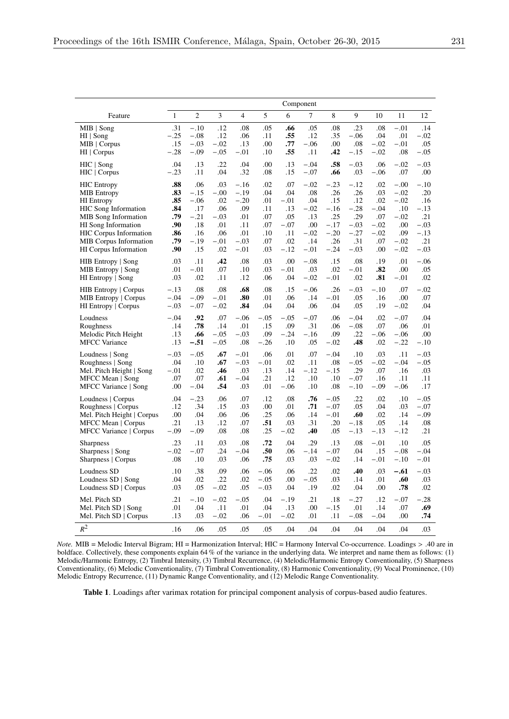|                               |              | Component      |                |                |        |        |        |        |        |        |        |        |
|-------------------------------|--------------|----------------|----------------|----------------|--------|--------|--------|--------|--------|--------|--------|--------|
| Feature                       | $\mathbf{1}$ | $\overline{c}$ | $\mathfrak{Z}$ | $\overline{4}$ | 5      | 6      | 7      | 8      | 9      | 10     | 11     | 12     |
| $MIB$   Song                  | .31          | $-.10$         | .12            | .08            | .05    | .66    | .05    | .08    | .23    | .08    | $-.01$ | .14    |
| HI   Song                     | $-.25$       | $-.08$         | .12            | .06            | .11    | .55    | .12    | .35    | $-.06$ | .04    | .01    | $-.02$ |
| $MIB$   Corpus                | .15          | $-.03$         | $-.02$         | .13            | .00    | .77    | $-.06$ | .00    | .08    | $-.02$ | $-.01$ | .05    |
| $HI$   Corpus                 | $-.28$       | $-.09$         | $-.05$         | $-.01$         | .10    | .55    | .11    | .42    | $-.15$ | $-.02$ | .08    | $-.05$ |
| $HIC$   Song                  | .04          | .13            | .22            | .04            | .00    | .13    | $-.04$ | .58    | $-.03$ | .06    | $-.02$ | $-.03$ |
| HIC   Corpus                  | $-.23$       | .11            | .04            | .32            | .08    | .15    | $-.07$ | .66    | .03    | $-.06$ | .07    | .00    |
| <b>HIC Entropy</b>            | .88          | .06            | .03            | $-.16$         | .02    | .07    | $-.02$ | $-.23$ | $-.12$ | .02    | $-.00$ | $-.10$ |
| <b>MIB</b> Entropy            | .83          | $-.15$         | $-.00$         | $-.19$         | .04    | .04    | .08    | .26    | .26    | .03    | $-.02$ | .20    |
| <b>HI</b> Entropy             | .85          | $-.06$         | .02            | $-.20$         | .01    | $-.01$ | .04    | .15    | .12    | .02    | $-.02$ | .16    |
| <b>HIC</b> Song Information   | .84          | .17            | .06            | .09            | .11    | .13    | $-.02$ | $-.16$ | $-.28$ | $-.04$ | .10    | $-.13$ |
| <b>MIB</b> Song Information   | .79          | $-.21$         | $-.03$         | .01            | .07    | .05    | .13    | .25    | .29    | .07    | $-.02$ | .21    |
| <b>HI</b> Song Information    | .90          | .18            | .01            | .11            | .07    | $-.07$ | .00    | $-.17$ | $-.03$ | $-.02$ | .00    | $-.03$ |
| <b>HIC Corpus Information</b> | .86          | .16            | .06            | .01            | .10    | .11    | $-.02$ | $-.20$ | $-.27$ | $-.02$ | .09    | $-.13$ |
| <b>MIB</b> Corpus Information | .79          | $-.19$         | $-.01$         | $-.03$         | .07    | .02    | .14    | .26    | .31    | .07    | $-.02$ | .21    |
| HI Corpus Information         | .90          | .15            | .02            | $-.01$         | .03    | $-.12$ | $-.01$ | $-.24$ | $-.03$ | .00    | $-.02$ | $-.03$ |
| HIB Entropy   Song            | .03          | .11            | .42            | .08            | .03    | .00    | $-.08$ | .15    | .08    | .19    | .01    | $-.06$ |
| MIB Entropy   Song            | .01          | $-.01$         | .07            | .10            | .03    | $-.01$ | .03    | .02    | $-.01$ | .82    | .00    | .05    |
| HI Entropy   Song             | .03          | .02            | .11            | .12            | .06    | .04    | $-.02$ | $-.01$ | .02    | .81    | $-.01$ | .02    |
| <b>HIB Entropy</b>   Corpus   | $-.13$       | .08            | .08            | .68            | .08    | .15    | $-.06$ | .26    | $-.03$ | $-.10$ | .07    | $-.02$ |
| <b>MIB Entropy</b>   Corpus   | $-.04$       | $-.09$         | $-.01$         | .80            | .01    | .06    | .14    | $-.01$ | .05    | .16    | .00    | .07    |
| HI Entropy   Corpus           | $-.03$       | $-.07$         | $-.02$         | .84            | .04    | .04    | .06    | .04    | .05    | .19    | $-.02$ | .04    |
| Loudness                      | $-.04$       | .92            | .07            | $-.06$         | $-.05$ | $-.05$ | $-.07$ | .06    | $-.04$ | .02    | $-.07$ | .04    |
| Roughness                     | .14          | .78            | .14            | .01            | .15    | .09    | .31    | .06    | $-.08$ | .07    | .06    | .01    |
| Melodic Pitch Height          | .13          | .66            | $-.05$         | $-.03$         | .09    | $-.24$ | $-.16$ | .09    | .22    | $-.06$ | $-.06$ | .00    |
| <b>MFCC</b> Variance          | .13          | $-.51$         | $-.05$         | .08            | $-.26$ | .10    | .05    | $-.02$ | .48    | .02    | $-.22$ | $-.10$ |
| Loudness   Song               | $-.03$       | $-.05$         | .67            | $-.01$         | .06    | .01    | .07    | $-.04$ | .10    | .03    | .11    | $-.03$ |
| Roughness   Song              | .04          | .10            | .67            | $-.03$         | $-.01$ | .02    | .11    | .08    | $-.05$ | $-.02$ | $-.04$ | $-.05$ |
| Mel. Pitch Height   Song      | $-.01$       | .02            | .46            | .03            | .13    | .14    | $-.12$ | $-.15$ | .29    | .07    | .16    | .03    |
| MFCC Mean   Song              | .07          | .07            | .61            | $-.04$         | .21    | .12    | .10    | .10    | $-.07$ | .16    | .11    | .11    |
| MFCC Variance   Song          | .00          | $-.04$         | .54            | .03            | .01    | $-.06$ | .10    | .08    | $-.10$ | $-.09$ | $-.06$ | .17    |
| Loudness   Corpus             | .04          | $-.23$         | .06            | .07            | .12    | .08    | .76    | $-.05$ | .22    | .02    | .10    | $-.05$ |
| Roughness   Corpus            | .12          | .34            | .15            | .03            | .00    | .01    | .71    | $-.07$ | .05    | .04    | .03    | $-.07$ |
| Mel. Pitch Height   Corpus    | .00          | .04            | .06            | .06            | .25    | .06    | .14    | $-.01$ | .60    | .02    | .14    | $-.09$ |
| MFCC Mean   Corpus            | .21          | .13            | .12            | .07            | .51    | .03    | .31    | .20    | -.18   | .05    | .14    | .08    |
| MFCC Variance   Corpus        | $-.09$       | $-.09$         | .08            | .08            | .25    | $-.02$ | .40    | .05    | $-.13$ | $-.13$ | $-.12$ | .21    |
| <b>Sharpness</b>              | .23          | .11            | .03            | .08            | .72    | .04    | .29    | .13    | .08    | $-.01$ | .10    | .05    |
| Sharpness   Song              | $-.02$       | $-.07$         | .24            | $-.04$         | .50    | .06    | $-.14$ | $-.07$ | .04    | .15    | $-.08$ | $-.04$ |
| Sharpness   Corpus            | .08          | .10            | .03            | .06            | .75    | .03    | .03    | $-.02$ | .14    | $-.01$ | $-.10$ | $-.01$ |
| Loudness SD                   | .10          | .38            | .09            | .06            | $-.06$ | .06    | .22    | .02    | .40    | .03    | $-.61$ | $-.03$ |
| Loudness $SD$   Song          | .04          | .02            | .22            | .02            | $-.05$ | .00    | $-.05$ | .03    | .14    | .01    | .60    | .03    |
| Loudness SD   Corpus          | .03          | .05            | $-.02$         | .05            | $-.03$ | .04    | .19    | .02    | .04    | .00    | .78    | .02    |
| Mel. Pitch SD                 | .21          | $-.10$         | $-.02$         | $-.05$         | .04    | $-.19$ | .21    | .18    | $-.27$ | .12    | $-.07$ | $-.28$ |
| Mel. Pitch SD   Song          | .01          | .04            | .11            | .01            | .04    | .13    | .00    | $-.15$ | .01    | .14    | .07    | .69    |
| Mel. Pitch SD   Corpus        | .13          | .03            | $-.02$         | .06            | $-.01$ | $-.02$ | .01    | .11    | $-.08$ | $-.04$ | .00    | .74    |
| $R^2$                         | .16          | .06            | .05            | .05            | .05    | .04    | .04    | .04    | .04    | .04    | .04    | .03    |

*Note.* MIB = Melodic Interval Bigram; HI = Harmonization Interval; HIC = Harmony Interval Co-occurrence. Loadings > .40 are in boldface. Collectively, these components explain 64 % of the variance in the underlying data. We interpret and name them as follows: (1) Melodic/Harmonic Entropy, (2) Timbral Intensity, (3) Timbral Recurrence, (4) Melodic/Harmonic Entropy Conventionality, (5) Sharpness Conventionality, (6) Melodic Conventionality, (7) Timbral Conventionality, (8) Harmonic Conventionality, (9) Vocal Prominence, (10) Melodic Entropy Recurrence, (11) Dynamic Range Conventionality, and (12) Melodic Range Conventionality.

Table 1. Loadings after varimax rotation for principal component analysis of corpus-based audio features.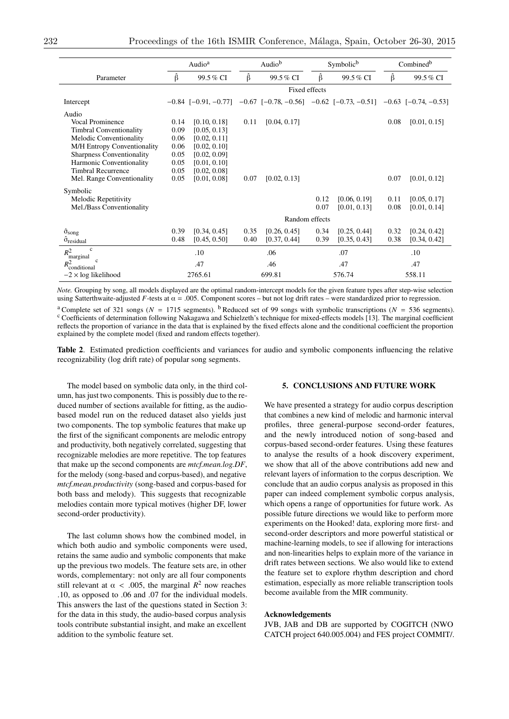|                                           | Audio <sup>a</sup> |               |      | Audio <sup>b</sup>                                                                                                      |      | Symbolic <sup>b</sup> | Combined <sup>b</sup> |              |  |  |
|-------------------------------------------|--------------------|---------------|------|-------------------------------------------------------------------------------------------------------------------------|------|-----------------------|-----------------------|--------------|--|--|
| Parameter                                 | Ŝ                  | 99.5 % CI     | β    | 99.5 % CI                                                                                                               | Ŝ    | 99.5% CI              | β                     | 99.5% CI     |  |  |
|                                           |                    | Fixed effects |      |                                                                                                                         |      |                       |                       |              |  |  |
| Intercept                                 |                    |               |      | $-0.84$ [ $-0.91$ , $-0.77$ ] $-0.67$ [ $-0.78$ , $-0.56$ ] $-0.62$ [ $-0.73$ , $-0.51$ ] $-0.63$ [ $-0.74$ , $-0.53$ ] |      |                       |                       |              |  |  |
| Audio                                     |                    |               |      |                                                                                                                         |      |                       |                       |              |  |  |
| Vocal Prominence                          | 0.14               | [0.10, 0.18]  | 0.11 | [0.04, 0.17]                                                                                                            |      |                       | 0.08                  | [0.01, 0.15] |  |  |
| <b>Timbral Conventionality</b>            | 0.09               | [0.05, 0.13]  |      |                                                                                                                         |      |                       |                       |              |  |  |
| Melodic Conventionality                   | 0.06               | [0.02, 0.11]  |      |                                                                                                                         |      |                       |                       |              |  |  |
| M/H Entropy Conventionality               | 0.06               | [0.02, 0.10]  |      |                                                                                                                         |      |                       |                       |              |  |  |
| <b>Sharpness Conventionality</b>          | 0.05               | [0.02, 0.09]  |      |                                                                                                                         |      |                       |                       |              |  |  |
| Harmonic Conventionality                  | 0.05               | [0.01, 0.10]  |      |                                                                                                                         |      |                       |                       |              |  |  |
| <b>Timbral Recurrence</b>                 | 0.05               | [0.02, 0.08]  |      |                                                                                                                         |      |                       |                       |              |  |  |
| Mel. Range Conventionality                | 0.05               | [0.01, 0.08]  | 0.07 | [0.02, 0.13]                                                                                                            |      |                       | 0.07                  | [0.01, 0.12] |  |  |
| Symbolic                                  |                    |               |      |                                                                                                                         |      |                       |                       |              |  |  |
| Melodic Repetitivity                      |                    |               |      |                                                                                                                         | 0.12 | [0.06, 0.19]          | 0.11                  | [0.05, 0.17] |  |  |
| Mel./Bass Conventionality                 |                    |               |      |                                                                                                                         | 0.07 | [0.01, 0.13]          | 0.08                  | [0.01, 0.14] |  |  |
|                                           | Random effects     |               |      |                                                                                                                         |      |                       |                       |              |  |  |
| $\hat{\sigma}_{\text{song}}$              | 0.39               | [0.34, 0.45]  | 0.35 | [0.26, 0.45]                                                                                                            | 0.34 | [0.25, 0.44]          | 0.32                  | [0.24, 0.42] |  |  |
| $\hat{\sigma}_{\text{residual}}$          | 0.48               | [0.45, 0.50]  | 0.40 | [0.37, 0.44]                                                                                                            | 0.39 | [0.35, 0.43]          | 0.38                  | [0.34, 0.42] |  |  |
| $\mathbf c$<br>$R^2$<br>marginal          | .10                |               | .06  |                                                                                                                         |      | .07                   | .10                   |              |  |  |
| $\mathbf c$<br>$R_{\text{conditional}}^2$ | .47                |               | .46  |                                                                                                                         |      | .47                   | .47                   |              |  |  |
| $-2 \times \log$ likelihood               | 2765.61            |               |      | 699.81                                                                                                                  |      | 576.74                | 558.11                |              |  |  |

*Note.* Grouping by song, all models displayed are the optimal random-intercept models for the given feature types after step-wise selection using Satterthwaite-adjusted  $F$ -tests at  $\alpha = .005$ . Component scores – but not log drift rates – were standardized prior to regression.

<sup>a</sup> Complete set of 321 songs ( $N = 1715$  segments). <sup>b</sup> Reduced set of 99 songs with symbolic transcriptions ( $N = 536$  segments). <sup>c</sup> Coefficients of determination following Nakagawa and Schielzeth's technique for mixed-e reflects the proportion of variance in the data that is explained by the fixed effects alone and the conditional coefficient the proportion explained by the complete model (fixed and random effects together).

Table 2. Estimated prediction coefficients and variances for audio and symbolic components influencing the relative recognizability (log drift rate) of popular song segments.

The model based on symbolic data only, in the third column, has just two components. This is possibly due to the reduced number of sections available for fitting, as the audiobased model run on the reduced dataset also yields just two components. The top symbolic features that make up the first of the significant components are melodic entropy and productivity, both negatively correlated, suggesting that recognizable melodies are more repetitive. The top features that make up the second components are *mtcf.mean.log.DF*, for the melody (song-based and corpus-based), and negative *mtcf.mean.productivity* (song-based and corpus-based for both bass and melody). This suggests that recognizable melodies contain more typical motives (higher DF, lower second-order productivity).

The last column shows how the combined model, in which both audio and symbolic components were used, retains the same audio and symbolic components that make up the previous two models. The feature sets are, in other words, complementary: not only are all four components still relevant at  $\alpha$  < .005, the marginal  $R^2$  now reaches .10, as opposed to .06 and .07 for the individual models. This answers the last of the questions stated in Section 3: for the data in this study, the audio-based corpus analysis tools contribute substantial insight, and make an excellent addition to the symbolic feature set.

#### 5. CONCLUSIONS AND FUTURE WORK

We have presented a strategy for audio corpus description that combines a new kind of melodic and harmonic interval profiles, three general-purpose second-order features, and the newly introduced notion of song-based and corpus-based second-order features. Using these features to analyse the results of a hook discovery experiment, we show that all of the above contributions add new and relevant layers of information to the corpus description. We conclude that an audio corpus analysis as proposed in this paper can indeed complement symbolic corpus analysis, which opens a range of opportunities for future work. As possible future directions we would like to perform more experiments on the Hooked! data, exploring more first- and second-order descriptors and more powerful statistical or machine-learning models, to see if allowing for interactions and non-linearities helps to explain more of the variance in drift rates between sections. We also would like to extend the feature set to explore rhythm description and chord estimation, especially as more reliable transcription tools become available from the MIR community.

#### Acknowledgements

JVB, JAB and DB are supported by COGITCH (NWO CATCH project 640.005.004) and FES project COMMIT/.